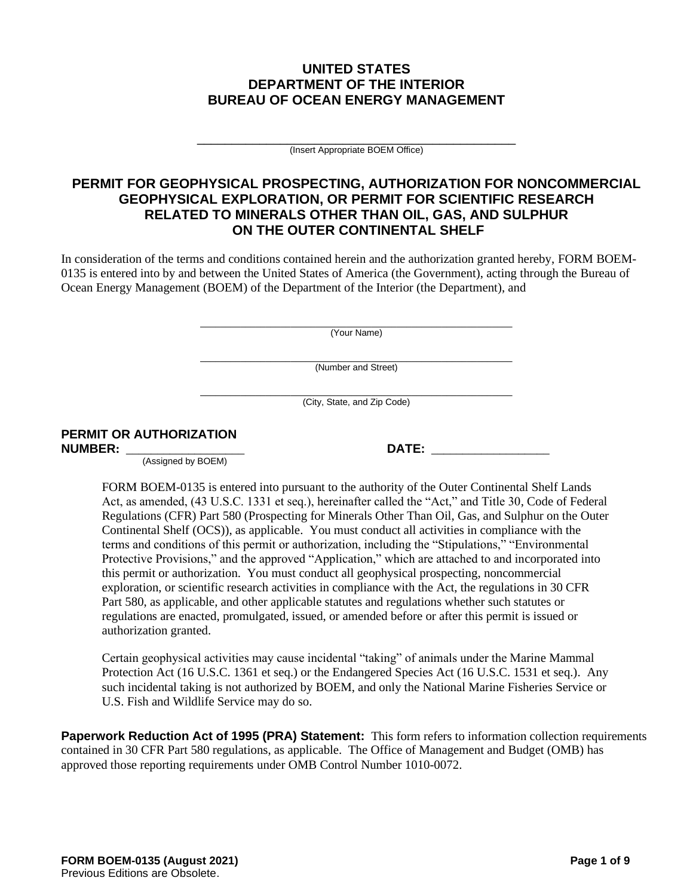# **UNITED STATES DEPARTMENT OF THE INTERIOR BUREAU OF OCEAN ENERGY MANAGEMENT**

\_\_\_\_\_\_\_\_\_\_\_\_\_\_\_\_\_\_\_\_\_\_\_\_\_\_\_\_\_\_\_\_\_\_\_\_\_\_\_\_\_\_\_\_\_\_ (Insert Appropriate BOEM Office)

# **PERMIT FOR GEOPHYSICAL PROSPECTING, AUTHORIZATION FOR NONCOMMERCIAL GEOPHYSICAL EXPLORATION, OR PERMIT FOR SCIENTIFIC RESEARCH RELATED TO MINERALS OTHER THAN OIL, GAS, AND SULPHUR ON THE OUTER CONTINENTAL SHELF**

In consideration of the terms and conditions contained herein and the authorization granted hereby, FORM BOEM-0135 is entered into by and between the United States of America (the Government), acting through the Bureau of Ocean Energy Management (BOEM) of the Department of the Interior (the Department), and

> \_\_\_\_\_\_\_\_\_\_\_\_\_\_\_\_\_\_\_\_\_\_\_\_\_\_\_\_\_\_\_\_\_\_\_\_\_\_\_\_\_\_\_\_\_\_\_\_\_\_\_\_\_\_\_\_\_\_\_\_\_\_ (Your Name)

> \_\_\_\_\_\_\_\_\_\_\_\_\_\_\_\_\_\_\_\_\_\_\_\_\_\_\_\_\_\_\_\_\_\_\_\_\_\_\_\_\_\_\_\_\_\_\_\_\_\_\_\_\_\_\_\_\_\_\_\_\_\_ (Number and Street)

> \_\_\_\_\_\_\_\_\_\_\_\_\_\_\_\_\_\_\_\_\_\_\_\_\_\_\_\_\_\_\_\_\_\_\_\_\_\_\_\_\_\_\_\_\_\_\_\_\_\_\_\_\_\_\_\_\_\_\_\_\_\_ (City, State, and Zip Code)

# **PERMIT OR AUTHORIZATION**

(Assigned by BOEM)

 $\blacksquare$  **DATE:**  $\blacksquare$ 

FORM BOEM-0135 is entered into pursuant to the authority of the Outer Continental Shelf Lands Act, as amended, (43 U.S.C. 1331 et seq.), hereinafter called the "Act," and Title 30, Code of Federal Regulations (CFR) Part 580 (Prospecting for Minerals Other Than Oil, Gas, and Sulphur on the Outer Continental Shelf (OCS)), as applicable. You must conduct all activities in compliance with the terms and conditions of this permit or authorization, including the "Stipulations," "Environmental Protective Provisions," and the approved "Application," which are attached to and incorporated into this permit or authorization. You must conduct all geophysical prospecting, noncommercial exploration, or scientific research activities in compliance with the Act, the regulations in 30 CFR Part 580, as applicable, and other applicable statutes and regulations whether such statutes or regulations are enacted, promulgated, issued, or amended before or after this permit is issued or authorization granted.

Certain geophysical activities may cause incidental "taking" of animals under the Marine Mammal Protection Act (16 U.S.C. 1361 et seq.) or the Endangered Species Act (16 U.S.C. 1531 et seq.). Any such incidental taking is not authorized by BOEM, and only the National Marine Fisheries Service or U.S. Fish and Wildlife Service may do so.

**Paperwork Reduction Act of 1995 (PRA) Statement:** This form refers to information collection requirements contained in 30 CFR Part 580 regulations, as applicable. The Office of Management and Budget (OMB) has approved those reporting requirements under OMB Control Number 1010-0072.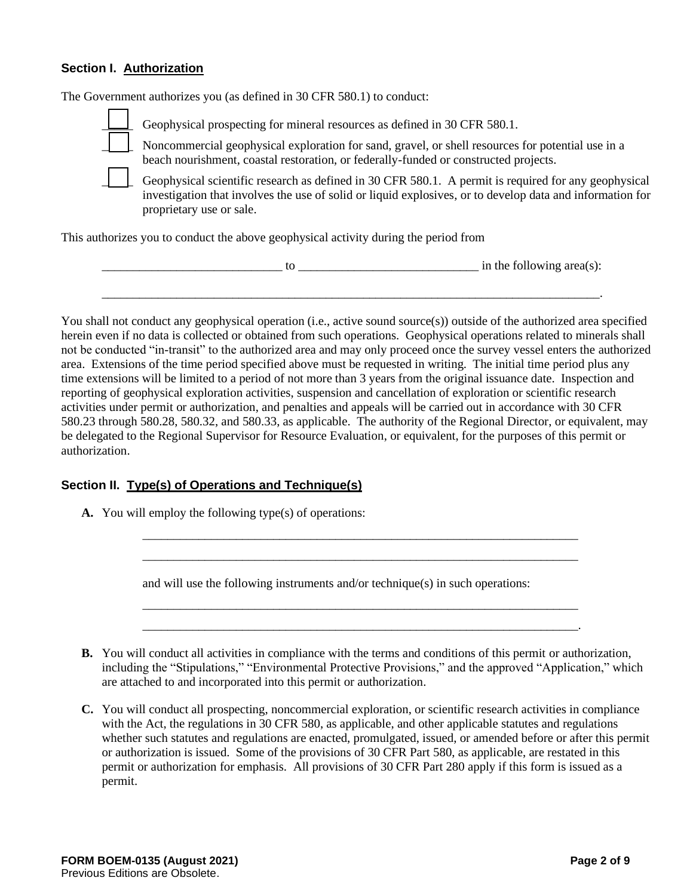# **Section I. Authorization**

The Government authorizes you (as defined in 30 CFR 580.1) to conduct:

Geophysical prospecting for mineral resources as defined in 30 CFR 580.1. \_\_\_\_\_ Noncommercial geophysical exploration for sand, gravel, or shell resources for potential use in a beach nourishment, coastal restoration, or federally-funded or constructed projects. Geophysical scientific research as defined in 30 CFR 580.1. A permit is required for any geophysical investigation that involves the use of solid or liquid explosives, or to develop data and information for

This authorizes you to conduct the above geophysical activity during the period from

|  | in the following area(s): |
|--|---------------------------|
|  |                           |

You shall not conduct any geophysical operation (i.e., active sound source(s)) outside of the authorized area specified herein even if no data is collected or obtained from such operations. Geophysical operations related to minerals shall not be conducted "in-transit" to the authorized area and may only proceed once the survey vessel enters the authorized area. Extensions of the time period specified above must be requested in writing. The initial time period plus any time extensions will be limited to a period of not more than 3 years from the original issuance date. Inspection and reporting of geophysical exploration activities, suspension and cancellation of exploration or scientific research activities under permit or authorization, and penalties and appeals will be carried out in accordance with 30 CFR 580.23 through 580.28, 580.32, and 580.33, as applicable. The authority of the Regional Director, or equivalent, may be delegated to the Regional Supervisor for Resource Evaluation, or equivalent, for the purposes of this permit or authorization.

# **Section II. Type(s) of Operations and Technique(s)**

proprietary use or sale.

**A.** You will employ the following type(s) of operations:

and will use the following instruments and/or technique(s) in such operations:

**B.** You will conduct all activities in compliance with the terms and conditions of this permit or authorization, including the "Stipulations," "Environmental Protective Provisions," and the approved "Application," which are attached to and incorporated into this permit or authorization.

\_\_\_\_\_\_\_\_\_\_\_\_\_\_\_\_\_\_\_\_\_\_\_\_\_\_\_\_\_\_\_\_\_\_\_\_\_\_\_\_\_\_\_\_\_\_\_\_\_\_\_\_\_\_\_\_\_\_\_\_\_\_\_\_\_\_\_\_\_\_ \_\_\_\_\_\_\_\_\_\_\_\_\_\_\_\_\_\_\_\_\_\_\_\_\_\_\_\_\_\_\_\_\_\_\_\_\_\_\_\_\_\_\_\_\_\_\_\_\_\_\_\_\_\_\_\_\_\_\_\_\_\_\_\_\_\_\_\_\_\_

\_\_\_\_\_\_\_\_\_\_\_\_\_\_\_\_\_\_\_\_\_\_\_\_\_\_\_\_\_\_\_\_\_\_\_\_\_\_\_\_\_\_\_\_\_\_\_\_\_\_\_\_\_\_\_\_\_\_\_\_\_\_\_\_\_\_\_\_\_\_ \_\_\_\_\_\_\_\_\_\_\_\_\_\_\_\_\_\_\_\_\_\_\_\_\_\_\_\_\_\_\_\_\_\_\_\_\_\_\_\_\_\_\_\_\_\_\_\_\_\_\_\_\_\_\_\_\_\_\_\_\_\_\_\_\_\_\_\_\_\_.

**C.** You will conduct all prospecting, noncommercial exploration, or scientific research activities in compliance with the Act, the regulations in 30 CFR 580, as applicable, and other applicable statutes and regulations whether such statutes and regulations are enacted, promulgated, issued, or amended before or after this permit or authorization is issued. Some of the provisions of 30 CFR Part 580, as applicable, are restated in this permit or authorization for emphasis. All provisions of 30 CFR Part 280 apply if this form is issued as a permit.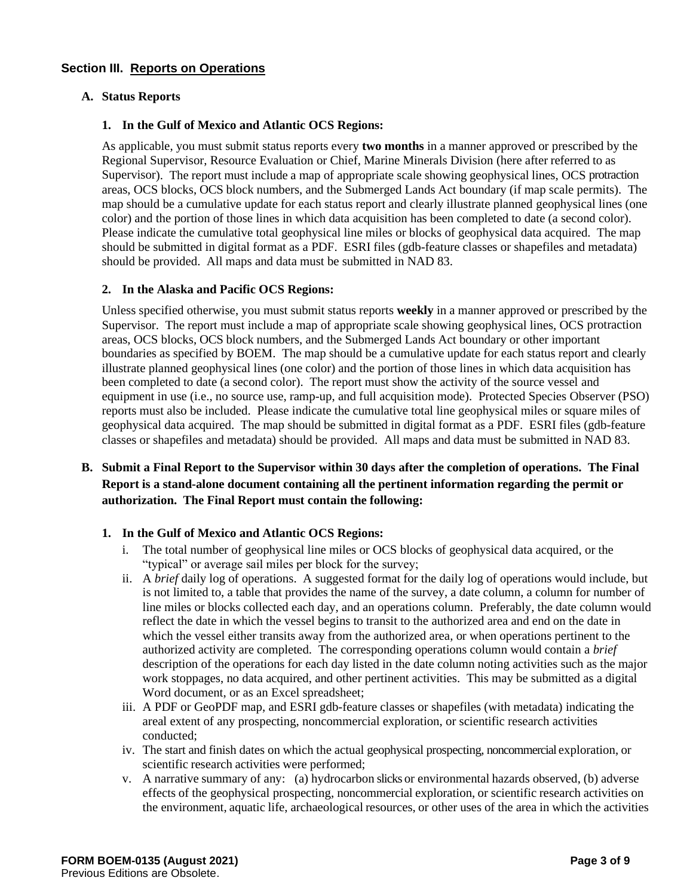# **Section III. Reports on Operations**

# **A. Status Reports**

#### **1. In the Gulf of Mexico and Atlantic OCS Regions:**

As applicable, you must submit status reports every **two months** in a manner approved or prescribed by the Regional Supervisor, Resource Evaluation or Chief, Marine Minerals Division (here after referred to as Supervisor). The report must include a map of appropriate scale showing geophysical lines, OCS protraction areas, OCS blocks, OCS block numbers, and the Submerged Lands Act boundary (if map scale permits). The map should be a cumulative update for each status report and clearly illustrate planned geophysical lines (one color) and the portion of those lines in which data acquisition has been completed to date (a second color). Please indicate the cumulative total geophysical line miles or blocks of geophysical data acquired. The map should be submitted in digital format as a PDF. ESRI files (gdb-feature classes or shapefiles and metadata) should be provided. All maps and data must be submitted in NAD 83.

### **2. In the Alaska and Pacific OCS Regions:**

Unless specified otherwise, you must submit status reports **weekly** in a manner approved or prescribed by the Supervisor. The report must include a map of appropriate scale showing geophysical lines, OCS protraction areas, OCS blocks, OCS block numbers, and the Submerged Lands Act boundary or other important boundaries as specified by BOEM. The map should be a cumulative update for each status report and clearly illustrate planned geophysical lines (one color) and the portion of those lines in which data acquisition has been completed to date (a second color). The report must show the activity of the source vessel and equipment in use (i.e., no source use, ramp-up, and full acquisition mode). Protected Species Observer (PSO) reports must also be included. Please indicate the cumulative total line geophysical miles or square miles of geophysical data acquired. The map should be submitted in digital format as a PDF. ESRI files (gdb-feature classes or shapefiles and metadata) should be provided. All maps and data must be submitted in NAD 83.

# **B. Submit a Final Report to the Supervisor within 30 days after the completion of operations. The Final Report is a stand-alone document containing all the pertinent information regarding the permit or authorization. The Final Report must contain the following:**

#### **1. In the Gulf of Mexico and Atlantic OCS Regions:**

- i. The total number of geophysical line miles or OCS blocks of geophysical data acquired, or the "typical" or average sail miles per block for the survey;
- ii. A *brief* daily log of operations. A suggested format for the daily log of operations would include, but is not limited to, a table that provides the name of the survey, a date column, a column for number of line miles or blocks collected each day, and an operations column. Preferably, the date column would reflect the date in which the vessel begins to transit to the authorized area and end on the date in which the vessel either transits away from the authorized area, or when operations pertinent to the authorized activity are completed. The corresponding operations column would contain a *brief* description of the operations for each day listed in the date column noting activities such as the major work stoppages, no data acquired, and other pertinent activities. This may be submitted as a digital Word document, or as an Excel spreadsheet;
- iii. A PDF or GeoPDF map, and ESRI gdb-feature classes or shapefiles (with metadata) indicating the areal extent of any prospecting, noncommercial exploration, or scientific research activities conducted;
- iv. The start and finish dates on which the actual geophysical prospecting, noncommercial exploration, or scientific research activities were performed;
- v. A narrative summary of any: (a) hydrocarbon slicks or environmental hazards observed, (b) adverse effects of the geophysical prospecting, noncommercial exploration, or scientific research activities on the environment, aquatic life, archaeological resources, or other uses of the area in which the activities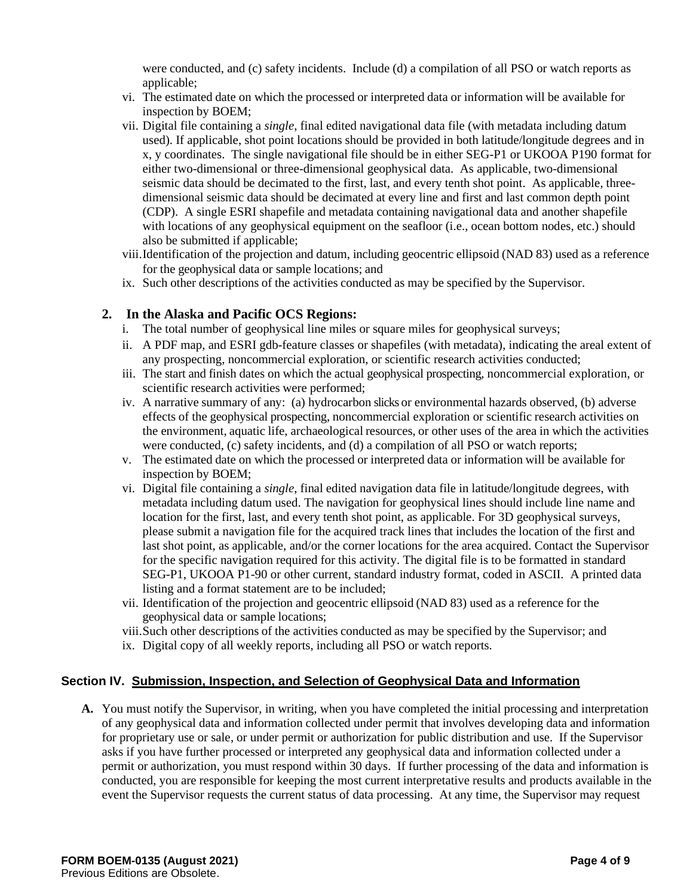were conducted, and (c) safety incidents. Include (d) a compilation of all PSO or watch reports as applicable:

- vi. The estimated date on which the processed or interpreted data or information will be available for inspection by BOEM;
- vii. Digital file containing a *single*, final edited navigational data file (with metadata including datum used). If applicable, shot point locations should be provided in both latitude/longitude degrees and in x, y coordinates. The single navigational file should be in either SEG-P1 or UKOOA P190 format for either two-dimensional or three-dimensional geophysical data. As applicable, two-dimensional seismic data should be decimated to the first, last, and every tenth shot point. As applicable, threedimensional seismic data should be decimated at every line and first and last common depth point (CDP). A single ESRI shapefile and metadata containing navigational data and another shapefile with locations of any geophysical equipment on the seafloor (i.e., ocean bottom nodes, etc.) should also be submitted if applicable;
- viii.Identification of the projection and datum, including geocentric ellipsoid (NAD 83) used as a reference for the geophysical data or sample locations; and
- ix. Such other descriptions of the activities conducted as may be specified by the Supervisor.

# **2. In the Alaska and Pacific OCS Regions:**

- i. The total number of geophysical line miles or square miles for geophysical surveys;
- ii. A PDF map, and ESRI gdb-feature classes or shapefiles (with metadata), indicating the areal extent of any prospecting, noncommercial exploration, or scientific research activities conducted;
- iii. The start and finish dates on which the actual geophysical prospecting, noncommercial exploration, or scientific research activities were performed;
- iv. A narrative summary of any: (a) hydrocarbon slicks or environmental hazards observed, (b) adverse effects of the geophysical prospecting, noncommercial exploration or scientific research activities on the environment, aquatic life, archaeological resources, or other uses of the area in which the activities were conducted, (c) safety incidents, and (d) a compilation of all PSO or watch reports;
- v. The estimated date on which the processed or interpreted data or information will be available for inspection by BOEM;
- vi. Digital file containing a *single*, final edited navigation data file in latitude/longitude degrees, with metadata including datum used. The navigation for geophysical lines should include line name and location for the first, last, and every tenth shot point, as applicable. For 3D geophysical surveys, please submit a navigation file for the acquired track lines that includes the location of the first and last shot point, as applicable, and/or the corner locations for the area acquired. Contact the Supervisor for the specific navigation required for this activity. The digital file is to be formatted in standard SEG-P1, UKOOA P1-90 or other current, standard industry format, coded in ASCII. A printed data listing and a format statement are to be included;
- vii. Identification of the projection and geocentric ellipsoid (NAD 83) used as a reference for the geophysical data or sample locations;
- viii.Such other descriptions of the activities conducted as may be specified by the Supervisor; and
- ix. Digital copy of all weekly reports, including all PSO or watch reports.

# **Section IV. Submission, Inspection, and Selection of Geophysical Data and Information**

**A.** You must notify the Supervisor, in writing, when you have completed the initial processing and interpretation of any geophysical data and information collected under permit that involves developing data and information for proprietary use or sale, or under permit or authorization for public distribution and use. If the Supervisor asks if you have further processed or interpreted any geophysical data and information collected under a permit or authorization, you must respond within 30 days. If further processing of the data and information is conducted, you are responsible for keeping the most current interpretative results and products available in the event the Supervisor requests the current status of data processing. At any time, the Supervisor may request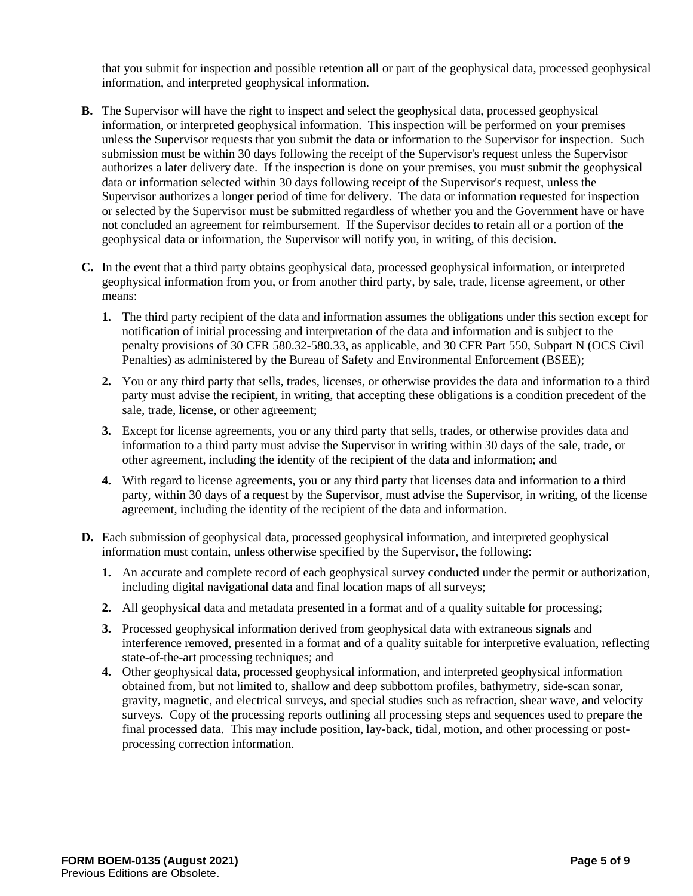that you submit for inspection and possible retention all or part of the geophysical data, processed geophysical information, and interpreted geophysical information.

- **B.** The Supervisor will have the right to inspect and select the geophysical data, processed geophysical information, or interpreted geophysical information. This inspection will be performed on your premises unless the Supervisor requests that you submit the data or information to the Supervisor for inspection. Such submission must be within 30 days following the receipt of the Supervisor's request unless the Supervisor authorizes a later delivery date. If the inspection is done on your premises, you must submit the geophysical data or information selected within 30 days following receipt of the Supervisor's request, unless the Supervisor authorizes a longer period of time for delivery. The data or information requested for inspection or selected by the Supervisor must be submitted regardless of whether you and the Government have or have not concluded an agreement for reimbursement. If the Supervisor decides to retain all or a portion of the geophysical data or information, the Supervisor will notify you, in writing, of this decision.
- **C.** In the event that a third party obtains geophysical data, processed geophysical information, or interpreted geophysical information from you, or from another third party, by sale, trade, license agreement, or other means:
	- **1.** The third party recipient of the data and information assumes the obligations under this section except for notification of initial processing and interpretation of the data and information and is subject to the penalty provisions of 30 CFR 580.32-580.33, as applicable, and 30 CFR Part 550, Subpart N (OCS Civil Penalties) as administered by the Bureau of Safety and Environmental Enforcement (BSEE);
	- **2.** You or any third party that sells, trades, licenses, or otherwise provides the data and information to a third party must advise the recipient, in writing, that accepting these obligations is a condition precedent of the sale, trade, license, or other agreement;
	- **3.** Except for license agreements, you or any third party that sells, trades, or otherwise provides data and information to a third party must advise the Supervisor in writing within 30 days of the sale, trade, or other agreement, including the identity of the recipient of the data and information; and
	- **4.** With regard to license agreements, you or any third party that licenses data and information to a third party, within 30 days of a request by the Supervisor, must advise the Supervisor, in writing, of the license agreement, including the identity of the recipient of the data and information.
- **D.** Each submission of geophysical data, processed geophysical information, and interpreted geophysical information must contain, unless otherwise specified by the Supervisor, the following:
	- **1.** An accurate and complete record of each geophysical survey conducted under the permit or authorization, including digital navigational data and final location maps of all surveys;
	- **2.** All geophysical data and metadata presented in a format and of a quality suitable for processing;
	- **3.** Processed geophysical information derived from geophysical data with extraneous signals and interference removed, presented in a format and of a quality suitable for interpretive evaluation, reflecting state-of-the-art processing techniques; and
	- **4.** Other geophysical data, processed geophysical information, and interpreted geophysical information obtained from, but not limited to, shallow and deep subbottom profiles, bathymetry, side-scan sonar, gravity, magnetic, and electrical surveys, and special studies such as refraction, shear wave, and velocity surveys. Copy of the processing reports outlining all processing steps and sequences used to prepare the final processed data. This may include position, lay-back, tidal, motion, and other processing or postprocessing correction information.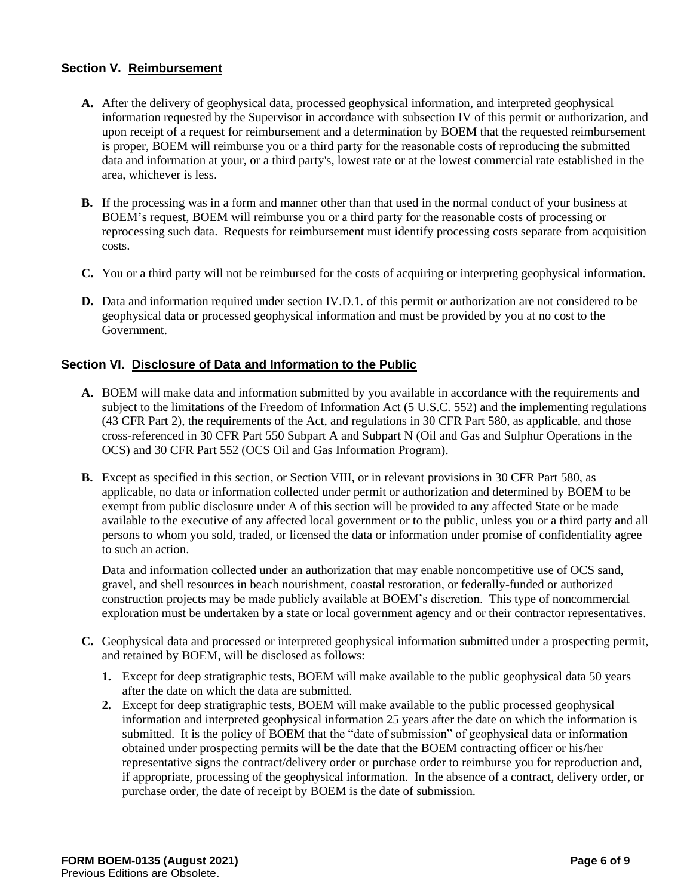# **Section V. Reimbursement**

- **A.** After the delivery of geophysical data, processed geophysical information, and interpreted geophysical information requested by the Supervisor in accordance with subsection IV of this permit or authorization, and upon receipt of a request for reimbursement and a determination by BOEM that the requested reimbursement is proper, BOEM will reimburse you or a third party for the reasonable costs of reproducing the submitted data and information at your, or a third party's, lowest rate or at the lowest commercial rate established in the area, whichever is less.
- **B.** If the processing was in a form and manner other than that used in the normal conduct of your business at BOEM's request, BOEM will reimburse you or a third party for the reasonable costs of processing or reprocessing such data. Requests for reimbursement must identify processing costs separate from acquisition costs.
- **C.** You or a third party will not be reimbursed for the costs of acquiring or interpreting geophysical information.
- **D.** Data and information required under section IV.D.1. of this permit or authorization are not considered to be geophysical data or processed geophysical information and must be provided by you at no cost to the Government.

#### **Section VI. Disclosure of Data and Information to the Public**

- **A.** BOEM will make data and information submitted by you available in accordance with the requirements and subject to the limitations of the Freedom of Information Act (5 U.S.C. 552) and the implementing regulations (43 CFR Part 2), the requirements of the Act, and regulations in 30 CFR Part 580, as applicable, and those cross-referenced in 30 CFR Part 550 Subpart A and Subpart N (Oil and Gas and Sulphur Operations in the OCS) and 30 CFR Part 552 (OCS Oil and Gas Information Program).
- **B.** Except as specified in this section, or Section VIII, or in relevant provisions in 30 CFR Part 580, as applicable, no data or information collected under permit or authorization and determined by BOEM to be exempt from public disclosure under A of this section will be provided to any affected State or be made available to the executive of any affected local government or to the public, unless you or a third party and all persons to whom you sold, traded, or licensed the data or information under promise of confidentiality agree to such an action.

Data and information collected under an authorization that may enable noncompetitive use of OCS sand, gravel, and shell resources in beach nourishment, coastal restoration, or federally-funded or authorized construction projects may be made publicly available at BOEM's discretion. This type of noncommercial exploration must be undertaken by a state or local government agency and or their contractor representatives.

- **C.** Geophysical data and processed or interpreted geophysical information submitted under a prospecting permit, and retained by BOEM, will be disclosed as follows:
	- **1.** Except for deep stratigraphic tests, BOEM will make available to the public geophysical data 50 years after the date on which the data are submitted.
	- **2.** Except for deep stratigraphic tests, BOEM will make available to the public processed geophysical information and interpreted geophysical information 25 years after the date on which the information is submitted. It is the policy of BOEM that the "date of submission" of geophysical data or information obtained under prospecting permits will be the date that the BOEM contracting officer or his/her representative signs the contract/delivery order or purchase order to reimburse you for reproduction and, if appropriate, processing of the geophysical information. In the absence of a contract, delivery order, or purchase order, the date of receipt by BOEM is the date of submission.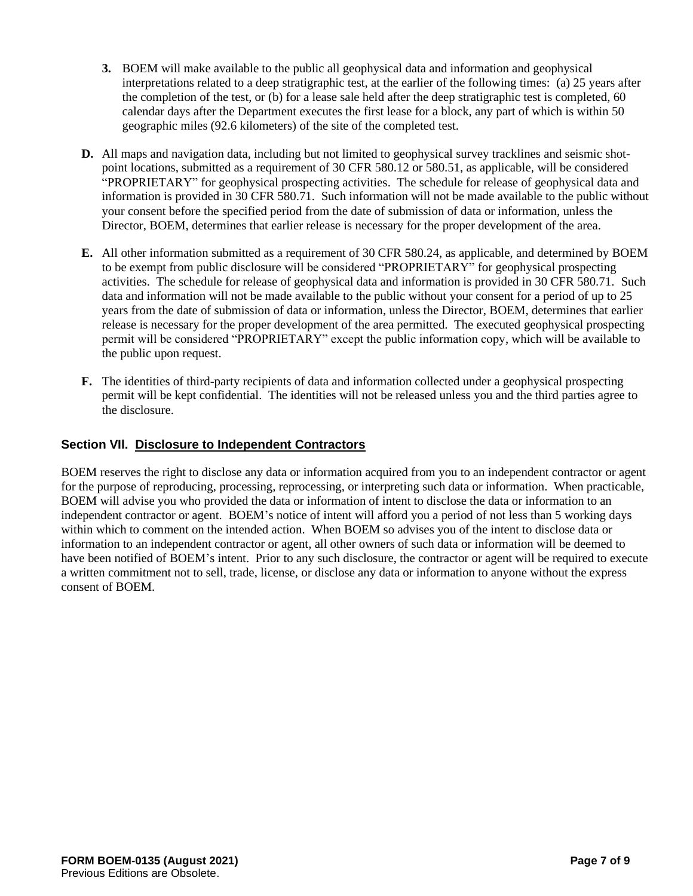- **3.** BOEM will make available to the public all geophysical data and information and geophysical interpretations related to a deep stratigraphic test, at the earlier of the following times: (a) 25 years after the completion of the test, or (b) for a lease sale held after the deep stratigraphic test is completed, 60 calendar days after the Department executes the first lease for a block, any part of which is within 50 geographic miles (92.6 kilometers) of the site of the completed test.
- **D.** All maps and navigation data, including but not limited to geophysical survey tracklines and seismic shotpoint locations, submitted as a requirement of 30 CFR 580.12 or 580.51, as applicable, will be considered "PROPRIETARY" for geophysical prospecting activities. The schedule for release of geophysical data and information is provided in 30 CFR 580.71. Such information will not be made available to the public without your consent before the specified period from the date of submission of data or information, unless the Director, BOEM, determines that earlier release is necessary for the proper development of the area.
- **E.** All other information submitted as a requirement of 30 CFR 580.24, as applicable, and determined by BOEM to be exempt from public disclosure will be considered "PROPRIETARY" for geophysical prospecting activities. The schedule for release of geophysical data and information is provided in 30 CFR 580.71. Such data and information will not be made available to the public without your consent for a period of up to 25 years from the date of submission of data or information, unless the Director, BOEM, determines that earlier release is necessary for the proper development of the area permitted. The executed geophysical prospecting permit will be considered "PROPRIETARY" except the public information copy, which will be available to the public upon request.
- **F.** The identities of third-party recipients of data and information collected under a geophysical prospecting permit will be kept confidential. The identities will not be released unless you and the third parties agree to the disclosure.

# **Section VIl. Disclosure to Independent Contractors**

BOEM reserves the right to disclose any data or information acquired from you to an independent contractor or agent for the purpose of reproducing, processing, reprocessing, or interpreting such data or information. When practicable, BOEM will advise you who provided the data or information of intent to disclose the data or information to an independent contractor or agent. BOEM's notice of intent will afford you a period of not less than 5 working days within which to comment on the intended action. When BOEM so advises you of the intent to disclose data or information to an independent contractor or agent, all other owners of such data or information will be deemed to have been notified of BOEM's intent. Prior to any such disclosure, the contractor or agent will be required to execute a written commitment not to sell, trade, license, or disclose any data or information to anyone without the express consent of BOEM.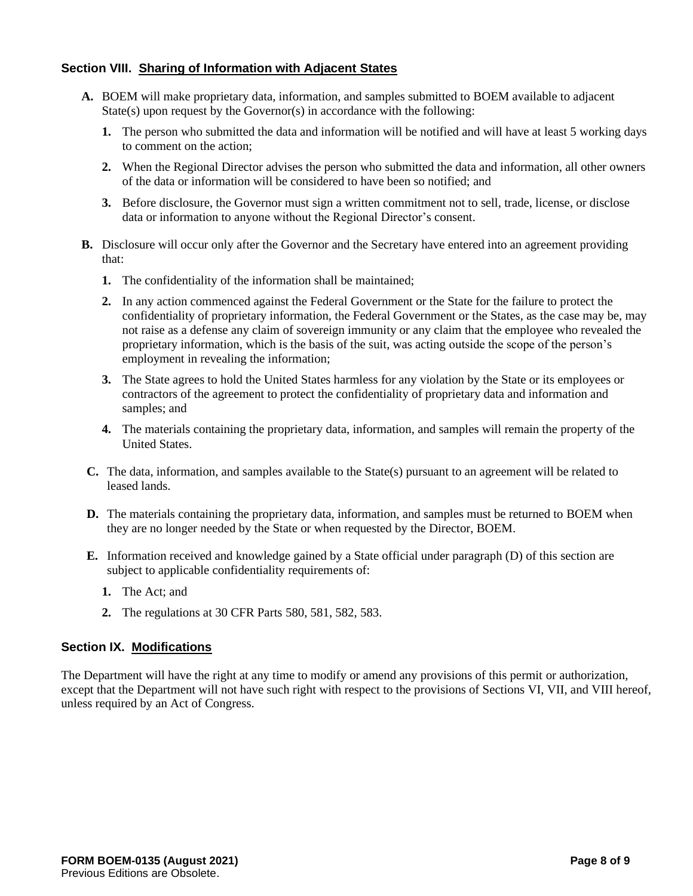# **Section VIII. Sharing of Information with Adjacent States**

- **A.** BOEM will make proprietary data, information, and samples submitted to BOEM available to adjacent State(s) upon request by the Governor(s) in accordance with the following:
	- **1.** The person who submitted the data and information will be notified and will have at least 5 working days to comment on the action;
	- **2.** When the Regional Director advises the person who submitted the data and information, all other owners of the data or information will be considered to have been so notified; and
	- **3.** Before disclosure, the Governor must sign a written commitment not to sell, trade, license, or disclose data or information to anyone without the Regional Director's consent.
- **B.** Disclosure will occur only after the Governor and the Secretary have entered into an agreement providing that:
	- **1.** The confidentiality of the information shall be maintained;
	- **2.** In any action commenced against the Federal Government or the State for the failure to protect the confidentiality of proprietary information, the Federal Government or the States, as the case may be, may not raise as a defense any claim of sovereign immunity or any claim that the employee who revealed the proprietary information, which is the basis of the suit, was acting outside the scope of the person's employment in revealing the information;
	- **3.** The State agrees to hold the United States harmless for any violation by the State or its employees or contractors of the agreement to protect the confidentiality of proprietary data and information and samples; and
	- **4.** The materials containing the proprietary data, information, and samples will remain the property of the United States.
- **C.** The data, information, and samples available to the State(s) pursuant to an agreement will be related to leased lands.
- **D.** The materials containing the proprietary data, information, and samples must be returned to BOEM when they are no longer needed by the State or when requested by the Director, BOEM.
- **E.** Information received and knowledge gained by a State official under paragraph (D) of this section are subject to applicable confidentiality requirements of:
	- **1.** The Act; and
	- **2.** The regulations at 30 CFR Parts 580, 581, 582, 583.

# **Section IX. Modifications**

The Department will have the right at any time to modify or amend any provisions of this permit or authorization, except that the Department will not have such right with respect to the provisions of Sections VI, VII, and VIII hereof, unless required by an Act of Congress.